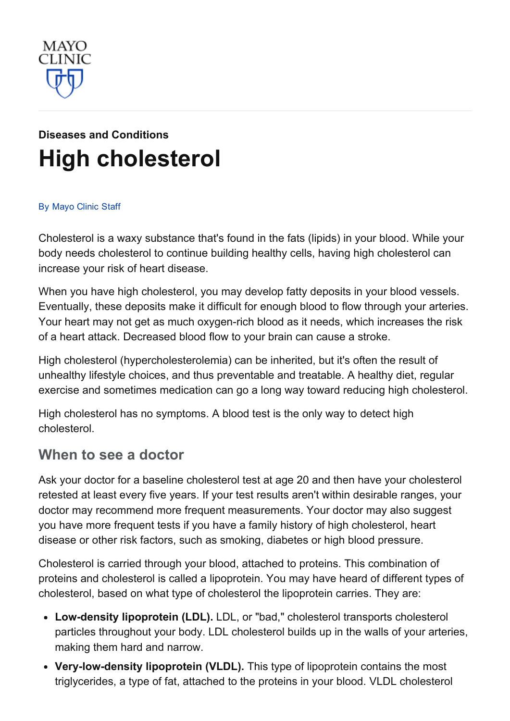

# Diseases and [Conditions](http://www.mayoclinic.org/diseases-conditions) High [cholesterol](http://www.mayoclinic.org/diseases-conditions/high-blood-cholesterol/basics/definition/con-20020865)

#### By [Mayo](http://www.mayoclinic.org/about-this-site/welcome) Clinic Staff

Cholesterol is a waxy substance that's found in the fats (lipids) in your blood. While your body needs cholesterol to continue building healthy cells, having high cholesterol can increase your risk of heart disease.

When you have high cholesterol, you may develop fatty deposits in your blood vessels. Eventually, these deposits make it difficult for enough blood to flow through your arteries. Your heart may not get as much oxygen-rich blood as it needs, which increases the risk of a heart attack. Decreased blood flow to your brain can cause a stroke.

High cholesterol (hypercholesterolemia) can be inherited, but it's often the result of unhealthy lifestyle choices, and thus preventable and treatable. A healthy diet, regular exercise and sometimes medication can go a long way toward reducing high cholesterol.

High cholesterol has no symptoms. A blood test is the only way to detect high cholesterol.

#### When to see a doctor

Ask your doctor for a baseline cholesterol test at age 20 and then have your cholesterol retested at least every five years. If your test results aren't within desirable ranges, your doctor may recommend more frequent measurements. Your doctor may also suggest you have more frequent tests if you have a family history of high cholesterol, heart disease or other risk factors, such as smoking, diabetes or high blood pressure.

Cholesterol is carried through your blood, attached to proteins. This combination of proteins and cholesterol is called a lipoprotein. You may have heard of different types of cholesterol, based on what type of cholesterol the lipoprotein carries. They are:

- Low-density lipoprotein (LDL). LDL, or "bad," cholesterol transports cholesterol particles throughout your body. LDL cholesterol builds up in the walls of your arteries, making them hard and narrow.
- Very-low-density lipoprotein (VLDL). This type of lipoprotein contains the most triglycerides, a type of fat, attached to the proteins in your blood. VLDL cholesterol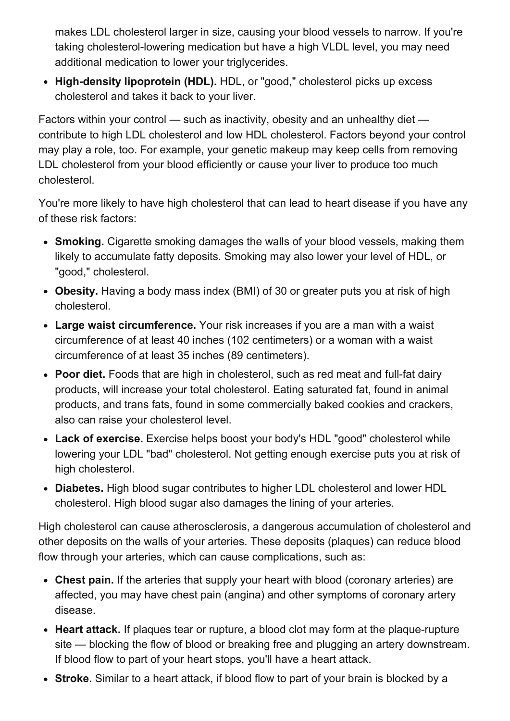makes LDL cholesterol larger in size, causing your blood vessels to narrow. If you're taking cholesterol-lowering medication but have a high VLDL level, you may need additional medication to lower your triglycerides.

• High-density lipoprotein (HDL). HDL, or "good," cholesterol picks up excess cholesterol and takes it back to your liver.

Factors within your control — such as inactivity, obesity and an unhealthy diet contribute to high LDL cholesterol and low HDL cholesterol. Factors beyond your control may play a role, too. For example, your genetic makeup may keep cells from removing LDL cholesterol from your blood efficiently or cause your liver to produce too much cholesterol.

You're more likely to have high cholesterol that can lead to heart disease if you have any of these risk factors:

- Smoking. Cigarette smoking damages the walls of your blood vessels, making them likely to accumulate fatty deposits. Smoking may also lower your level of HDL, or "good," cholesterol.
- Obesity. Having a body mass index (BMI) of 30 or greater puts you at risk of high cholesterol.
- Large waist circumference. Your risk increases if you are a man with a waist circumference of at least 40 inches (102 centimeters) or a woman with a waist circumference of at least 35 inches (89 centimeters).
- Poor diet. Foods that are high in cholesterol, such as red meat and full-fat dairy products, will increase your total cholesterol. Eating saturated fat, found in animal products, and trans fats, found in some commercially baked cookies and crackers, also can raise your cholesterol level.
- Lack of exercise. Exercise helps boost your body's HDL "good" cholesterol while lowering your LDL "bad" cholesterol. Not getting enough exercise puts you at risk of high cholesterol.
- Diabetes. High blood sugar contributes to higher LDL cholesterol and lower HDL cholesterol. High blood sugar also damages the lining of your arteries.

High cholesterol can cause atherosclerosis, a dangerous accumulation of cholesterol and other deposits on the walls of your arteries. These deposits (plaques) can reduce blood flow through your arteries, which can cause complications, such as:

- Chest pain. If the arteries that supply your heart with blood (coronary arteries) are affected, you may have chest pain (angina) and other symptoms of coronary artery disease.
- Heart attack. If plaques tear or rupture, a blood clot may form at the plaque-rupture site — blocking the flow of blood or breaking free and plugging an artery downstream. If blood flow to part of your heart stops, you'll have a heart attack.
- Stroke. Similar to a heart attack, if blood flow to part of your brain is blocked by a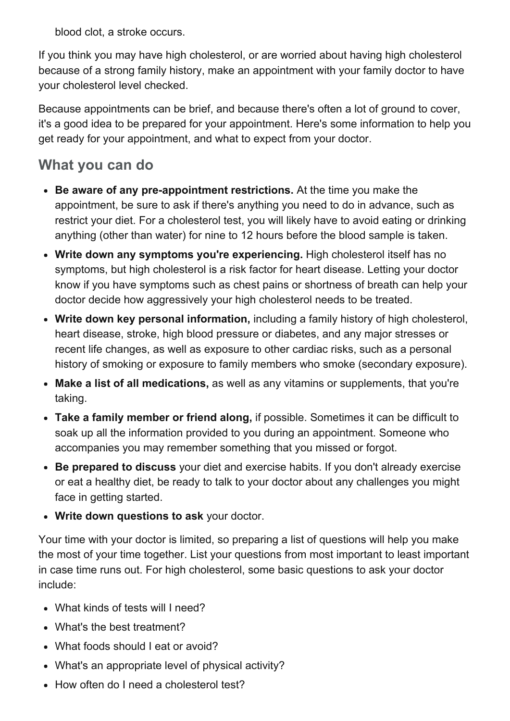blood clot, a stroke occurs.

If you think you may have high cholesterol, or are worried about having high cholesterol because of a strong family history, make an appointment with your family doctor to have your cholesterol level checked.

Because appointments can be brief, and because there's often a lot of ground to cover, it's a good idea to be prepared for your appointment. Here's some information to help you get ready for your appointment, and what to expect from your doctor.

## What you can do

- Be aware of any pre-appointment restrictions. At the time you make the appointment, be sure to ask if there's anything you need to do in advance, such as restrict your diet. For a cholesterol test, you will likely have to avoid eating or drinking anything (other than water) for nine to 12 hours before the blood sample is taken.
- Write down any symptoms you're experiencing. High cholesterol itself has no symptoms, but high cholesterol is a risk factor for heart disease. Letting your doctor know if you have symptoms such as chest pains or shortness of breath can help your doctor decide how aggressively your high cholesterol needs to be treated.
- Write down key personal information, including a family history of high cholesterol, heart disease, stroke, high blood pressure or diabetes, and any major stresses or recent life changes, as well as exposure to other cardiac risks, such as a personal history of smoking or exposure to family members who smoke (secondary exposure).
- Make a list of all medications, as well as any vitamins or supplements, that you're taking.
- Take a family member or friend along, if possible. Sometimes it can be difficult to soak up all the information provided to you during an appointment. Someone who accompanies you may remember something that you missed or forgot.
- Be prepared to discuss your diet and exercise habits. If you don't already exercise or eat a healthy diet, be ready to talk to your doctor about any challenges you might face in getting started.
- Write down questions to ask your doctor.

Your time with your doctor is limited, so preparing a list of questions will help you make the most of your time together. List your questions from most important to least important in case time runs out. For high cholesterol, some basic questions to ask your doctor include:

- What kinds of tests will I need?
- What's the best treatment?
- What foods should I eat or avoid?
- What's an appropriate level of physical activity?
- How often do I need a cholesterol test?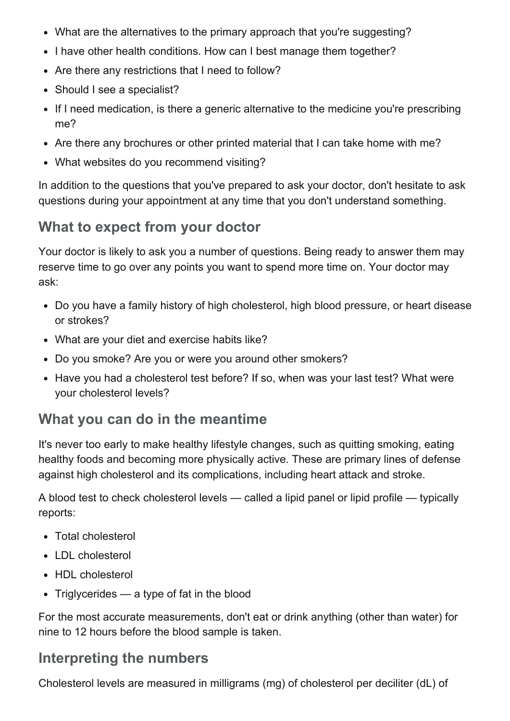- What are the alternatives to the primary approach that you're suggesting?
- I have other health conditions. How can I best manage them together?
- Are there any restrictions that I need to follow?
- Should I see a specialist?
- If I need medication, is there a generic alternative to the medicine you're prescribing me?
- Are there any brochures or other printed material that I can take home with me?
- What websites do you recommend visiting?

In addition to the questions that you've prepared to ask your doctor, don't hesitate to ask questions during your appointment at any time that you don't understand something.

#### What to expect from your doctor

Your doctor is likely to ask you a number of questions. Being ready to answer them may reserve time to go over any points you want to spend more time on. Your doctor may ask:

- Do you have a family history of high cholesterol, high blood pressure, or heart disease or strokes?
- What are your diet and exercise habits like?
- Do you smoke? Are you or were you around other smokers?
- Have you had a cholesterol test before? If so, when was your last test? What were your cholesterol levels?

#### What you can do in the meantime

It's never too early to make healthy lifestyle changes, such as quitting smoking, eating healthy foods and becoming more physically active. These are primary lines of defense against high cholesterol and its complications, including heart attack and stroke.

A blood test to check cholesterol levels — called a lipid panel or lipid profile — typically reports:

- Total cholesterol
- LDL cholesterol
- HDL cholesterol
- $\bullet$  Triglycerides a type of fat in the blood

For the most accurate measurements, don't eat or drink anything (other than water) for nine to 12 hours before the blood sample is taken.

#### Interpreting the numbers

Cholesterol levels are measured in milligrams (mg) of cholesterol per deciliter (dL) of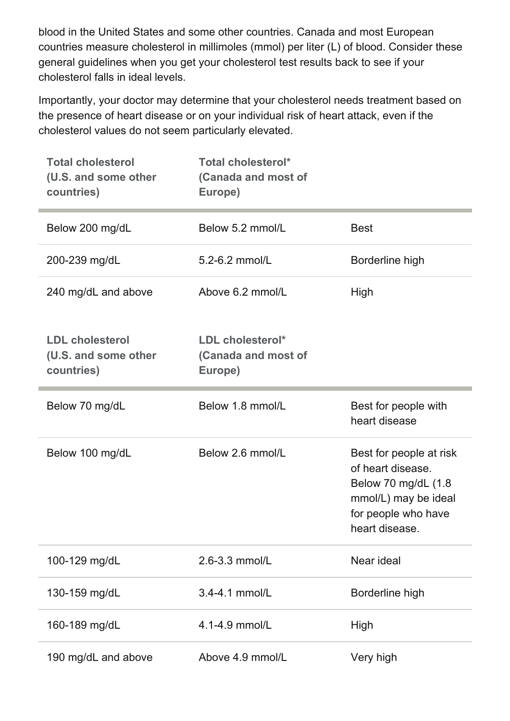blood in the United States and some other countries. Canada and most European countries measure cholesterol in millimoles (mmol) per liter (L) of blood. Consider these general guidelines when you get your cholesterol test results back to see if your cholesterol falls in ideal levels.

Importantly, your doctor may determine that your cholesterol needs treatment based on the presence of heart disease or on your individual risk of heart attack, even if the cholesterol values do not seem particularly elevated.

| <b>Total cholesterol</b><br>(U.S. and some other<br>countries) | <b>Total cholesterol*</b><br>(Canada and most of<br>Europe) |                                                                                                                                       |
|----------------------------------------------------------------|-------------------------------------------------------------|---------------------------------------------------------------------------------------------------------------------------------------|
| Below 200 mg/dL                                                | Below 5.2 mmol/L                                            | <b>Best</b>                                                                                                                           |
| 200-239 mg/dL                                                  | 5.2-6.2 mmol/L                                              | Borderline high                                                                                                                       |
| 240 mg/dL and above                                            | Above 6.2 mmol/L                                            | High                                                                                                                                  |
| <b>LDL cholesterol</b><br>(U.S. and some other<br>countries)   | LDL cholesterol*<br>(Canada and most of<br>Europe)          |                                                                                                                                       |
| Below 70 mg/dL                                                 | Below 1.8 mmol/L                                            | Best for people with<br>heart disease                                                                                                 |
| Below 100 mg/dL                                                | Below 2.6 mmol/L                                            | Best for people at risk<br>of heart disease.<br>Below 70 mg/dL (1.8)<br>mmol/L) may be ideal<br>for people who have<br>heart disease. |
| 100-129 mg/dL                                                  | 2.6-3.3 mmol/L                                              | Near ideal                                                                                                                            |
| 130-159 mg/dL                                                  | 3.4-4.1 mmol/L                                              | Borderline high                                                                                                                       |
| 160-189 mg/dL                                                  | 4.1-4.9 mmol/L                                              | High                                                                                                                                  |
| 190 mg/dL and above                                            | Above 4.9 mmol/L                                            | Very high                                                                                                                             |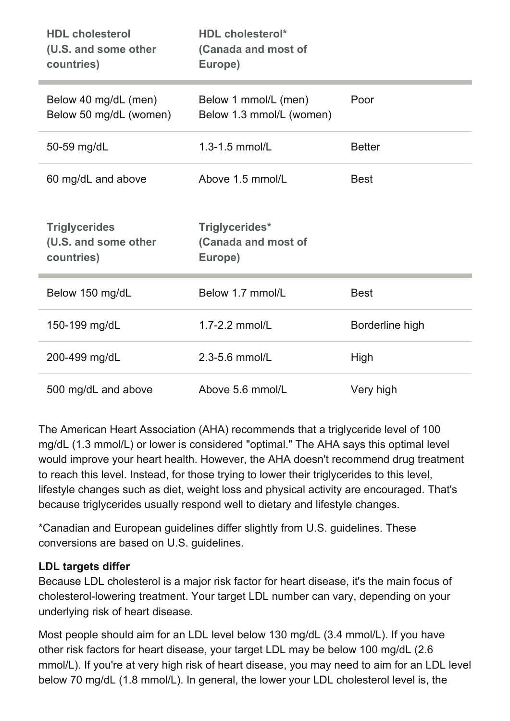| <b>HDL cholesterol</b><br>(U.S. and some other<br>countries) | <b>HDL cholesterol*</b><br>(Canada and most of<br>Europe) |                 |
|--------------------------------------------------------------|-----------------------------------------------------------|-----------------|
| Below 40 mg/dL (men)<br>Below 50 mg/dL (women)               | Below 1 mmol/L (men)<br>Below 1.3 mmol/L (women)          | Poor            |
| 50-59 mg/dL                                                  | 1.3-1.5 mmol/L                                            | <b>Better</b>   |
| 60 mg/dL and above                                           | Above 1.5 mmol/L                                          | <b>Best</b>     |
|                                                              |                                                           |                 |
| <b>Triglycerides</b><br>(U.S. and some other<br>countries)   | Triglycerides*<br>(Canada and most of<br>Europe)          |                 |
| Below 150 mg/dL                                              | Below 1.7 mmol/L                                          | <b>Best</b>     |
| 150-199 mg/dL                                                | 1.7-2.2 mmol/L                                            | Borderline high |
| 200-499 mg/dL                                                | 2.3-5.6 mmol/L                                            | High            |

The American Heart Association (AHA) recommends that a triglyceride level of 100 mg/dL (1.3 mmol/L) or lower is considered "optimal." The AHA says this optimal level would improve your heart health. However, the AHA doesn't recommend drug treatment to reach this level. Instead, for those trying to lower their triglycerides to this level, lifestyle changes such as diet, weight loss and physical activity are encouraged. That's because triglycerides usually respond well to dietary and lifestyle changes.

\*Canadian and European guidelines differ slightly from U.S. guidelines. These conversions are based on U.S. guidelines.

#### LDL targets differ

Because LDL cholesterol is a major risk factor for heart disease, it's the main focus of cholesterol-lowering treatment. Your target LDL number can vary, depending on your underlying risk of heart disease.

Most people should aim for an LDL level below 130 mg/dL (3.4 mmol/L). If you have other risk factors for heart disease, your target LDL may be below 100 mg/dL (2.6 mmol/L). If you're at very high risk of heart disease, you may need to aim for an LDL level below 70 mg/dL (1.8 mmol/L). In general, the lower your LDL cholesterol level is, the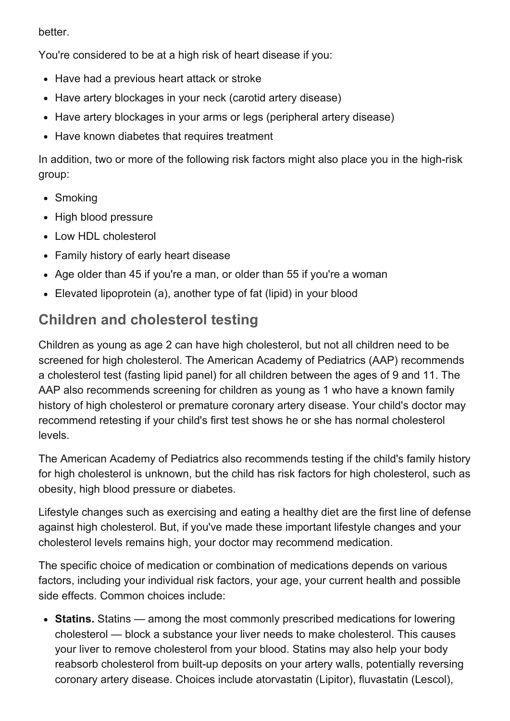better.

You're considered to be at a high risk of heart disease if you:

- Have had a previous heart attack or stroke
- Have artery blockages in your neck (carotid artery disease)
- Have artery blockages in your arms or legs (peripheral artery disease)
- Have known diabetes that requires treatment

In addition, two or more of the following risk factors might also place you in the high-risk group:

- Smoking
- High blood pressure
- Low HDL cholesterol
- Family history of early heart disease
- Age older than 45 if you're a man, or older than 55 if you're a woman
- Elevated lipoprotein (a), another type of fat (lipid) in your blood

# Children and cholesterol testing

Children as young as age 2 can have high cholesterol, but not all children need to be screened for high cholesterol. The American Academy of Pediatrics (AAP) recommends a cholesterol test (fasting lipid panel) for all children between the ages of 9 and 11. The AAP also recommends screening for children as young as 1 who have a known family history of high cholesterol or premature coronary artery disease. Your child's doctor may recommend retesting if your child's first test shows he or she has normal cholesterol levels.

The American Academy of Pediatrics also recommends testing if the child's family history for high cholesterol is unknown, but the child has risk factors for high cholesterol, such as obesity, high blood pressure or diabetes.

Lifestyle changes such as exercising and eating a healthy diet are the first line of defense against high cholesterol. But, if you've made these important lifestyle changes and your cholesterol levels remains high, your doctor may recommend medication.

The specific choice of medication or combination of medications depends on various factors, including your individual risk factors, your age, your current health and possible side effects. Common choices include:

• Statins. Statins — among the most commonly prescribed medications for lowering cholesterol — block a substance your liver needs to make cholesterol. This causes your liver to remove cholesterol from your blood. Statins may also help your body reabsorb cholesterol from built-up deposits on your artery walls, potentially reversing coronary artery disease. Choices include atorvastatin (Lipitor), fluvastatin (Lescol),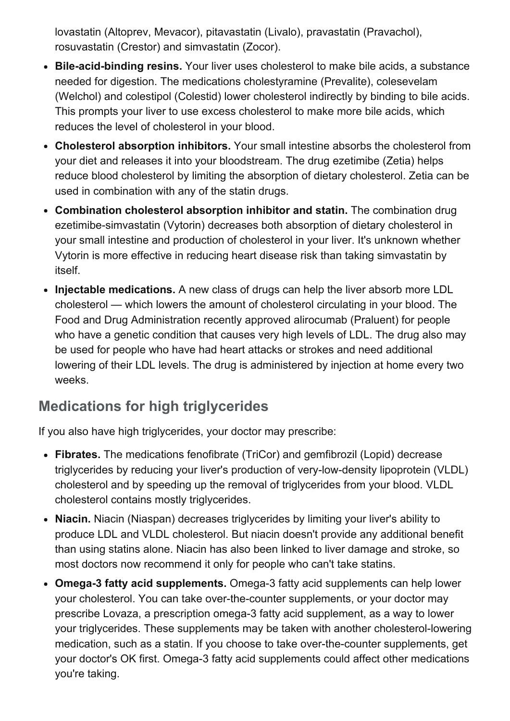lovastatin (Altoprev, Mevacor), pitavastatin (Livalo), pravastatin (Pravachol), rosuvastatin (Crestor) and simvastatin (Zocor).

- Bile-acid-binding resins. Your liver uses cholesterol to make bile acids, a substance needed for digestion. The medications cholestyramine (Prevalite), colesevelam (Welchol) and colestipol (Colestid) lower cholesterol indirectly by binding to bile acids. This prompts your liver to use excess cholesterol to make more bile acids, which reduces the level of cholesterol in your blood.
- Cholesterol absorption inhibitors. Your small intestine absorbs the cholesterol from your diet and releases it into your bloodstream. The drug ezetimibe (Zetia) helps reduce blood cholesterol by limiting the absorption of dietary cholesterol. Zetia can be used in combination with any of the statin drugs.
- Combination cholesterol absorption inhibitor and statin. The combination drug ezetimibe-simvastatin (Vytorin) decreases both absorption of dietary cholesterol in your small intestine and production of cholesterol in your liver. It's unknown whether Vytorin is more effective in reducing heart disease risk than taking simvastatin by itself.
- Injectable medications. A new class of drugs can help the liver absorb more LDL cholesterol — which lowers the amount of cholesterol circulating in your blood. The Food and Drug Administration recently approved alirocumab (Praluent) for people who have a genetic condition that causes very high levels of LDL. The drug also may be used for people who have had heart attacks or strokes and need additional lowering of their LDL levels. The drug is administered by injection at home every two weeks.

# Medications for high triglycerides

If you also have high triglycerides, your doctor may prescribe:

- Fibrates. The medications fenofibrate (TriCor) and gemfibrozil (Lopid) decrease triglycerides by reducing your liver's production of very-low-density lipoprotein (VLDL) cholesterol and by speeding up the removal of triglycerides from your blood. VLDL cholesterol contains mostly triglycerides.
- Niacin. Niacin (Niaspan) decreases triglycerides by limiting your liver's ability to produce LDL and VLDL cholesterol. But niacin doesn't provide any additional benefit than using statins alone. Niacin has also been linked to liver damage and stroke, so most doctors now recommend it only for people who can't take statins.
- Omega-3 fatty acid supplements. Omega-3 fatty acid supplements can help lower your cholesterol. You can take over-the-counter supplements, or your doctor may prescribe Lovaza, a prescription omega-3 fatty acid supplement, as a way to lower your triglycerides. These supplements may be taken with another cholesterol-lowering medication, such as a statin. If you choose to take over-the-counter supplements, get your doctor's OK first. Omega-3 fatty acid supplements could affect other medications you're taking.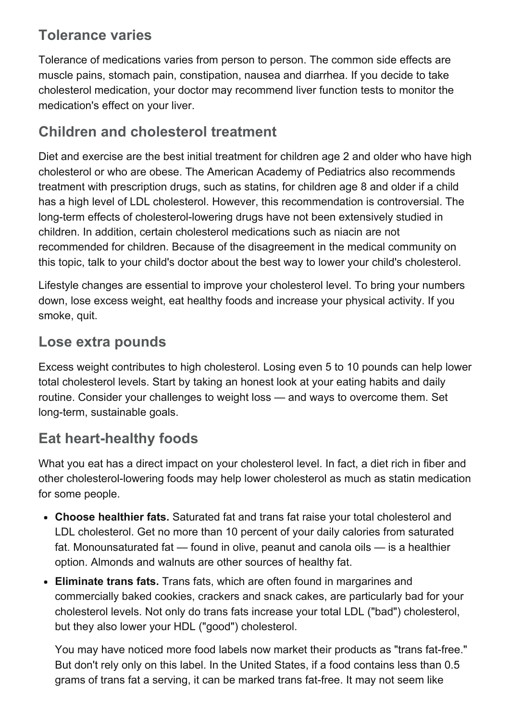## Tolerance varies

Tolerance of medications varies from person to person. The common side effects are muscle pains, stomach pain, constipation, nausea and diarrhea. If you decide to take cholesterol medication, your doctor may recommend liver function tests to monitor the medication's effect on your liver.

# Children and cholesterol treatment

Diet and exercise are the best initial treatment for children age 2 and older who have high cholesterol or who are obese. The American Academy of Pediatrics also recommends treatment with prescription drugs, such as statins, for children age 8 and older if a child has a high level of LDL cholesterol. However, this recommendation is controversial. The long-term effects of cholesterol-lowering drugs have not been extensively studied in children. In addition, certain cholesterol medications such as niacin are not recommended for children. Because of the disagreement in the medical community on this topic, talk to your child's doctor about the best way to lower your child's cholesterol.

Lifestyle changes are essential to improve your cholesterol level. To bring your numbers down, lose excess weight, eat healthy foods and increase your physical activity. If you smoke, quit.

#### Lose extra pounds

Excess weight contributes to high cholesterol. Losing even 5 to 10 pounds can help lower total cholesterol levels. Start by taking an honest look at your eating habits and daily routine. Consider your challenges to weight loss — and ways to overcome them. Set long-term, sustainable goals.

# Eat heart-healthy foods

What you eat has a direct impact on your cholesterol level. In fact, a diet rich in fiber and other cholesterol-lowering foods may help lower cholesterol as much as statin medication for some people.

- Choose healthier fats. Saturated fat and trans fat raise your total cholesterol and LDL cholesterol. Get no more than 10 percent of your daily calories from saturated fat. Monounsaturated fat — found in olive, peanut and canola oils — is a healthier option. Almonds and walnuts are other sources of healthy fat.
- Eliminate trans fats. Trans fats, which are often found in margarines and commercially baked cookies, crackers and snack cakes, are particularly bad for your cholesterol levels. Not only do trans fats increase your total LDL ("bad") cholesterol, but they also lower your HDL ("good") cholesterol.

You may have noticed more food labels now market their products as "trans fat-free." But don't rely only on this label. In the United States, if a food contains less than 0.5 grams of trans fat a serving, it can be marked trans fat-free. It may not seem like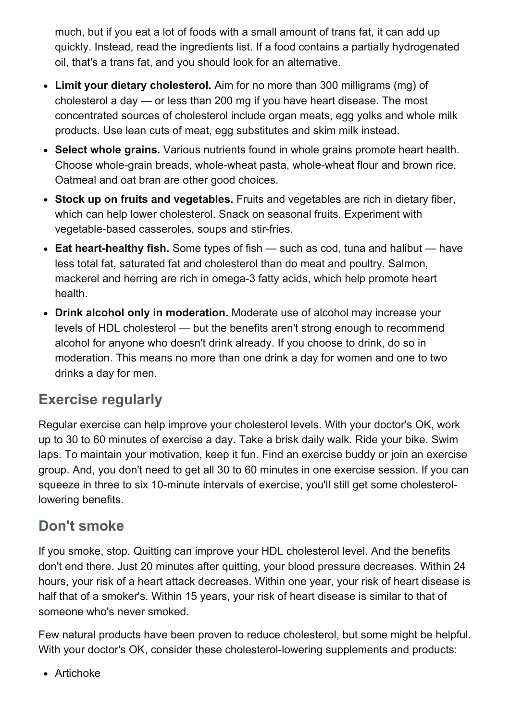much, but if you eat a lot of foods with a small amount of trans fat, it can add up quickly. Instead, read the ingredients list. If a food contains a partially hydrogenated oil, that's a trans fat, and you should look for an alternative.

- Limit your dietary cholesterol. Aim for no more than 300 milligrams (mg) of cholesterol a day — or less than 200 mg if you have heart disease. The most concentrated sources of cholesterol include organ meats, egg yolks and whole milk products. Use lean cuts of meat, egg substitutes and skim milk instead.
- Select whole grains. Various nutrients found in whole grains promote heart health. Choose whole-grain breads, whole-wheat pasta, whole-wheat flour and brown rice. Oatmeal and oat bran are other good choices.
- Stock up on fruits and vegetables. Fruits and vegetables are rich in dietary fiber, which can help lower cholesterol. Snack on seasonal fruits. Experiment with vegetable-based casseroles, soups and stir-fries.
- **Eat heart-healthy fish.** Some types of fish  $-$  such as cod, tuna and halibut  $-$  have less total fat, saturated fat and cholesterol than do meat and poultry. Salmon, mackerel and herring are rich in omega-3 fatty acids, which help promote heart health.
- Drink alcohol only in moderation. Moderate use of alcohol may increase your levels of HDL cholesterol — but the benefits aren't strong enough to recommend alcohol for anyone who doesn't drink already. If you choose to drink, do so in moderation. This means no more than one drink a day for women and one to two drinks a day for men.

#### Exercise regularly

Regular exercise can help improve your cholesterol levels. With your doctor's OK, work up to 30 to 60 minutes of exercise a day. Take a brisk daily walk. Ride your bike. Swim laps. To maintain your motivation, keep it fun. Find an exercise buddy or join an exercise group. And, you don't need to get all 30 to 60 minutes in one exercise session. If you can squeeze in three to six 10-minute intervals of exercise, you'll still get some cholesterollowering benefits.

# Don't smoke

If you smoke, stop. Quitting can improve your HDL cholesterol level. And the benefits don't end there. Just 20 minutes after quitting, your blood pressure decreases. Within 24 hours, your risk of a heart attack decreases. Within one year, your risk of heart disease is half that of a smoker's. Within 15 years, your risk of heart disease is similar to that of someone who's never smoked.

Few natural products have been proven to reduce cholesterol, but some might be helpful. With your doctor's OK, consider these cholesterol-lowering supplements and products:

Artichoke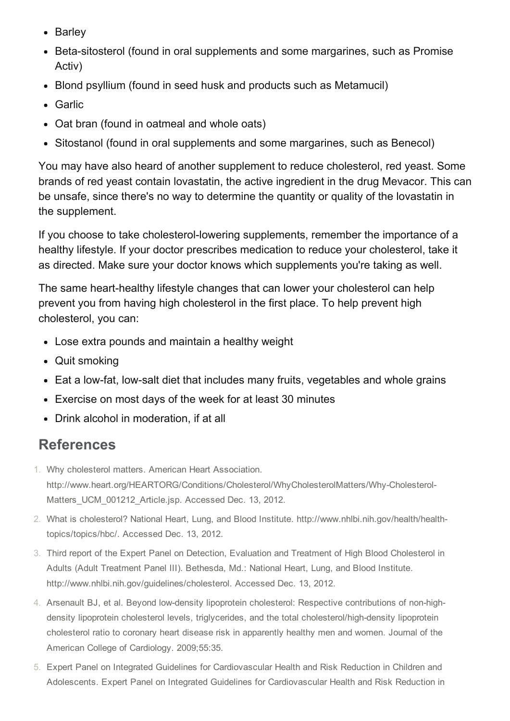- Barley
- Beta-sitosterol (found in oral supplements and some margarines, such as Promise Activ)
- Blond psyllium (found in seed husk and products such as Metamucil)
- Garlic
- Oat bran (found in oatmeal and whole oats)
- Sitostanol (found in oral supplements and some margarines, such as Benecol)

You may have also heard of another supplement to reduce cholesterol, red yeast. Some brands of red yeast contain lovastatin, the active ingredient in the drug Mevacor. This can be unsafe, since there's no way to determine the quantity or quality of the lovastatin in the supplement.

If you choose to take cholesterol-lowering supplements, remember the importance of a healthy lifestyle. If your doctor prescribes medication to reduce your cholesterol, take it as directed. Make sure your doctor knows which supplements you're taking as well.

The same heart-healthy lifestyle changes that can lower your cholesterol can help prevent you from having high cholesterol in the first place. To help prevent high cholesterol, you can:

- Lose extra pounds and maintain a healthy weight
- Quit smoking
- Eat a low-fat, low-salt diet that includes many fruits, vegetables and whole grains
- Exercise on most days of the week for at least 30 minutes
- Drink alcohol in moderation, if at all

#### References

- 1. Why cholesterol matters. American Heart Association. http://www.heart.org/HEARTORG/Conditions/Cholesterol/WhyCholesterolMatters/Why-Cholesterol-Matters UCM 001212 Article.jsp. Accessed Dec. 13, 2012.
- 2. What is cholesterol? National Heart, Lung, and Blood Institute. http://www.nhlbi.nih.gov/health/healthtopics/topics/hbc/. Accessed Dec. 13, 2012.
- 3. Third report of the Expert Panel on Detection, Evaluation and Treatment of High Blood Cholesterol in Adults (Adult Treatment Panel III). Bethesda, Md.: National Heart, Lung, and Blood Institute. http://www.nhlbi.nih.gov/guidelines/cholesterol. Accessed Dec. 13, 2012.
- 4. Arsenault BJ, et al. Beyond low-density lipoprotein cholesterol: Respective contributions of non-highdensity lipoprotein cholesterol levels, triglycerides, and the total cholesterol/high-density lipoprotein cholesterol ratio to coronary heart disease risk in apparently healthy men and women. Journal of the American College of Cardiology. 2009;55:35.
- 5. Expert Panel on Integrated Guidelines for Cardiovascular Health and Risk Reduction in Children and Adolescents. Expert Panel on Integrated Guidelines for Cardiovascular Health and Risk Reduction in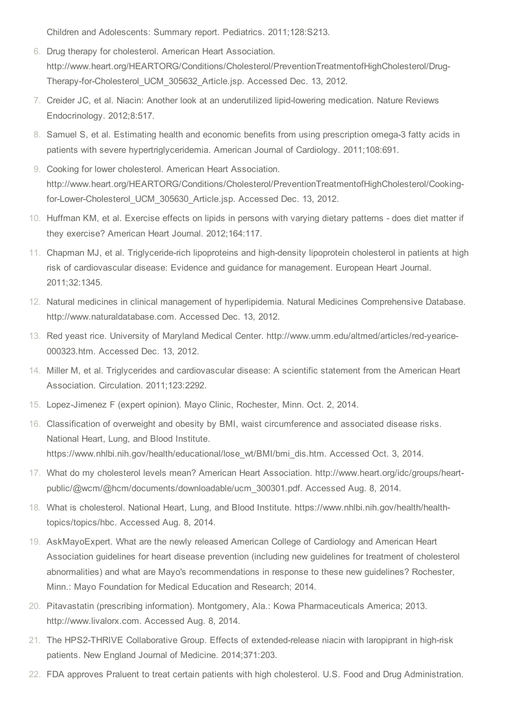Children and Adolescents: Summary report. Pediatrics. 2011;128:S213.

- 6. Drug therapy for cholesterol. American Heart Association. http://www.heart.org/HEARTORG/Conditions/Cholesterol/PreventionTreatmentofHighCholesterol/Drug-Therapy-for-Cholesterol\_UCM\_305632\_Article.jsp. Accessed Dec. 13, 2012.
- 7. Creider JC, et al. Niacin: Another look at an underutilized lipid-lowering medication. Nature Reviews Endocrinology. 2012;8:517.
- 8. Samuel S, et al. Estimating health and economic benefits from using prescription omega-3 fatty acids in patients with severe hypertriglyceridemia. American Journal of Cardiology. 2011;108:691.
- 9. Cooking for lower cholesterol. American Heart Association. http://www.heart.org/HEARTORG/Conditions/Cholesterol/PreventionTreatmentofHighCholesterol/Cookingfor-Lower-Cholesterol\_UCM\_305630\_Article.jsp. Accessed Dec. 13, 2012.
- 10. Huffman KM, et al. Exercise effects on lipids in persons with varying dietary patterns does diet matter if they exercise? American Heart Journal. 2012;164:117.
- 11. Chapman MJ, et al. Triglyceride-rich lipoproteins and high-density lipoprotein cholesterol in patients at high risk of cardiovascular disease: Evidence and guidance for management. European Heart Journal. 2011;32:1345.
- 12. Natural medicines in clinical management of hyperlipidemia. Natural Medicines Comprehensive Database. http://www.naturaldatabase.com. Accessed Dec. 13, 2012.
- 13. Red yeast rice. University of Maryland Medical Center. http://www.umm.edu/altmed/articles/red-yearice-000323.htm. Accessed Dec. 13, 2012.
- 14. Miller M, et al. Triglycerides and cardiovascular disease: A scientific statement from the American Heart Association. Circulation. 2011;123:2292.
- 15. Lopez-Jimenez F (expert opinion). Mayo Clinic, Rochester, Minn. Oct. 2, 2014.
- 16. Classification of overweight and obesity by BMI, waist circumference and associated disease risks. National Heart, Lung, and Blood Institute. https://www.nhlbi.nih.gov/health/educational/lose\_wt/BMI/bmi\_dis.htm. Accessed Oct. 3, 2014.
- 17. What do my cholesterol levels mean? American Heart Association. http://www.heart.org/idc/groups/heartpublic/@wcm/@hcm/documents/downloadable/ucm\_300301.pdf. Accessed Aug. 8, 2014.
- 18. What is cholesterol. National Heart, Lung, and Blood Institute. https://www.nhlbi.nih.gov/health/healthtopics/topics/hbc. Accessed Aug. 8, 2014.
- 19. AskMayoExpert. What are the newly released American College of Cardiology and American Heart Association guidelines for heart disease prevention (including new guidelines for treatment of cholesterol abnormalities) and what are Mayo's recommendations in response to these new guidelines? Rochester, Minn.: Mayo Foundation for Medical Education and Research; 2014.
- 20. Pitavastatin (prescribing information). Montgomery, Ala.: Kowa Pharmaceuticals America; 2013. http://www.livalorx.com. Accessed Aug. 8, 2014.
- 21. The HPS2-THRIVE Collaborative Group. Effects of extended-release niacin with laropiprant in high-risk patients. New England Journal of Medicine. 2014;371:203.
- 22. FDA approves Praluent to treat certain patients with high cholesterol. U.S. Food and Drug Administration.